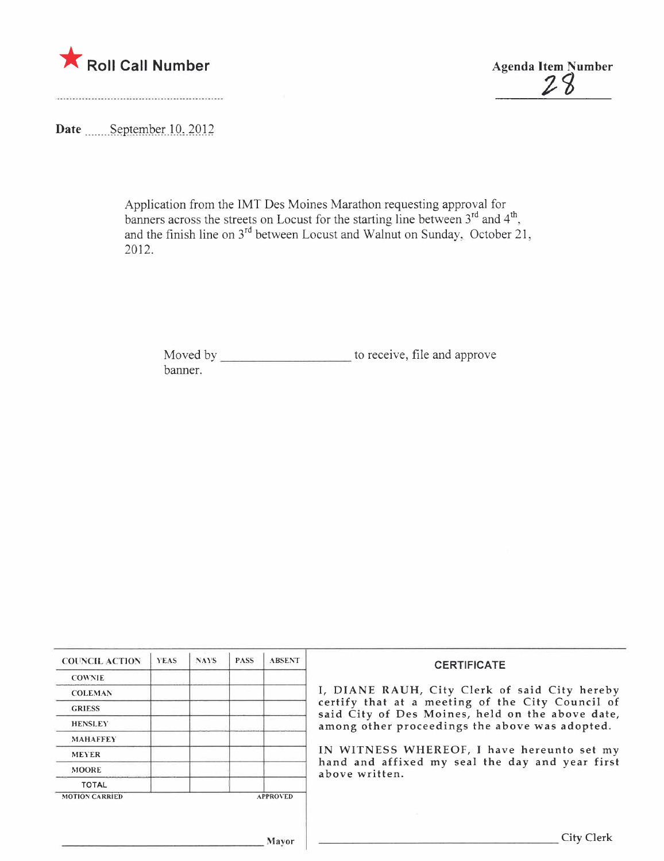

i9;

Date September 10, 2012

Application from the IMT Des Moines Marathon requesting approval for banners across the streets on Locust for the starting line between  $3^{\prime\prime}$  and  $4^{\prime\prime}$ . and the finish line on  $3<sup>10</sup>$  between Locust and Walnut on Sunday, October 21, 2012.

Moved by to receive, file and approve banner.

| <b>COUNCIL ACTION</b> | YEAS | NAYS. | <b>PASS</b> | <b>ABSENT</b>   | <b>CERTIFICATE</b>                                                                                   |
|-----------------------|------|-------|-------------|-----------------|------------------------------------------------------------------------------------------------------|
| <b>COWNIE</b>         |      |       |             |                 |                                                                                                      |
| <b>COLEMAN</b>        |      |       |             |                 | I, DIANE RAUH, City Clerk of said City hereby                                                        |
| <b>GRIESS</b>         |      |       |             |                 | certify that at a meeting of the City Council of<br>said City of Des Moines, held on the above date, |
| <b>HENSLEY</b>        |      |       |             |                 | among other proceedings the above was adopted.                                                       |
| <b>MAHAFFEY</b>       |      |       |             |                 |                                                                                                      |
| <b>MEYER</b>          |      |       |             |                 | IN WITNESS WHEREOF, I have hereunto set my                                                           |
| <b>MOORE</b>          |      |       |             |                 | hand and affixed my seal the day and year first<br>above written.                                    |
| <b>TOTAL</b>          |      |       |             |                 |                                                                                                      |
| <b>MOTION CARRIED</b> |      |       |             | <b>APPROVED</b> |                                                                                                      |
|                       |      |       |             | Mayor           | <b>City Clerk</b>                                                                                    |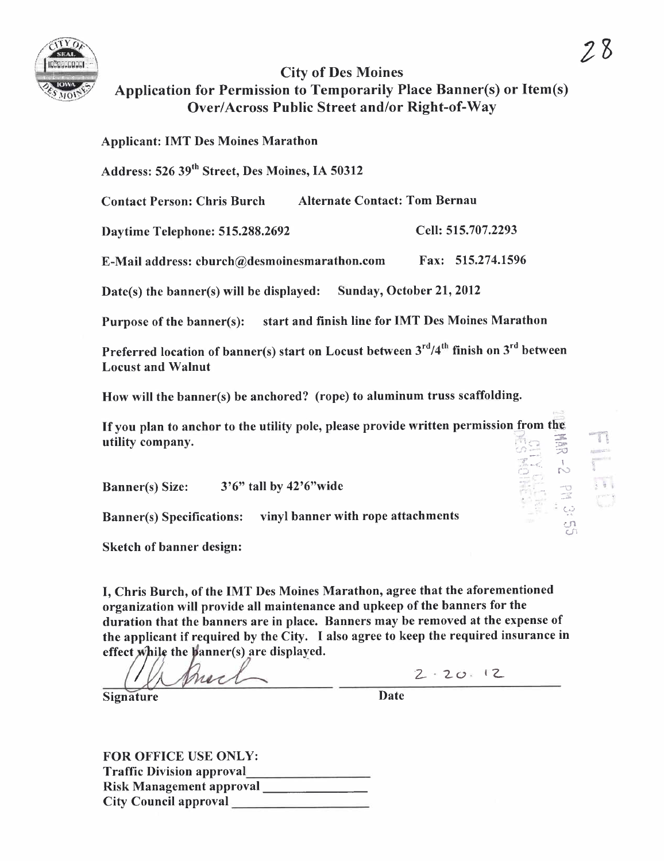

City of Des Moines Application for Permission to Temporarily Place Banner(s) or Item(s) Over/Across Public Street and/or Right-of-Way

Applicant: IMT Des Moines Marathon

Address: 526 39<sup>th</sup> Street, Des Moines, IA 50312

Contact Person: Chris Burch Alternate Contact: Tom Bernau

Daytime Telephone: 515.288.2692 Cell: 515.707.2293

E-Mail address: cburch@desmoinesmarathon.com Fax:  $515.274.1596$ 

Date(s) the banner(s) will be displayed: Sunday, October 21, 2012

Purpose of the banner(s): start and finish line for IMT Des Moines Marathon

Preferred location of banner(s) start on Locust between  $3<sup>rd</sup>/4<sup>th</sup>$  finish on  $3<sup>rd</sup>$  between Locust and Walnut

How will the banner(s) be anchored? (rope) to aluminum truss scaffolding.

If you plan to anchor to the utility pole, please provide written permission from the utility company.

Banner(s) Size: 3'6" tall by 42'6"wide

Banner(s) Specifications: vinyl banner with rope attachments

Sketch of banner design:

I, Chris Burch, of the IMT Des Moines Marathon, agree that the aforementioned organization will provide all maintenance and upkeep of the banners for the duration that the banners are in place. Banners may be removed at the expense of the applicant if required by the City. I also agree to keep the required insurance in

effect while the panner(s) are displayed.<br>
Signature Date

Signature

FOR OFFICE USE ONLY: Traffic Division approval Risk Management approval City Council approval

, -

. (.. en  $\cup$ 

"'"n :.:O~':;;- ... ~ , :j.  $-2$  ;  $-1$ :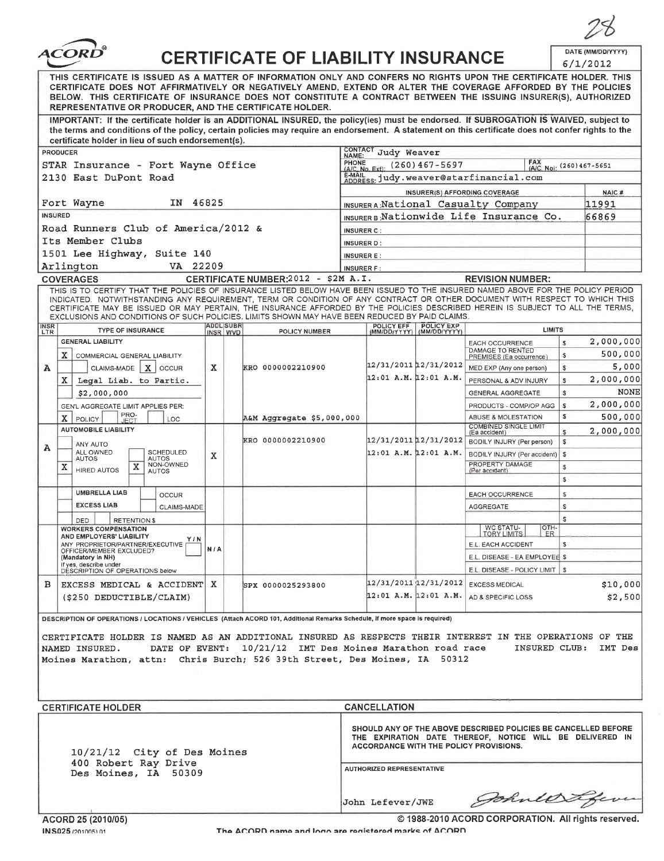|                                                                                                                                                                                                                                                                                                                                                                                                                                                                                                    |                                                                                                                             |       |                              |                                      | <b>CERTIFICATE OF LIABILITY INSURANCE</b>                                                                                                                            |                           |                            |                                                                             | DATE (MM/DD/YYYY)<br>6/1/2012 |                    |  |  |  |  |
|----------------------------------------------------------------------------------------------------------------------------------------------------------------------------------------------------------------------------------------------------------------------------------------------------------------------------------------------------------------------------------------------------------------------------------------------------------------------------------------------------|-----------------------------------------------------------------------------------------------------------------------------|-------|------------------------------|--------------------------------------|----------------------------------------------------------------------------------------------------------------------------------------------------------------------|---------------------------|----------------------------|-----------------------------------------------------------------------------|-------------------------------|--------------------|--|--|--|--|
| THIS CERTIFICATE IS ISSUED AS A MATTER OF INFORMATION ONLY AND CONFERS NO RIGHTS UPON THE CERTIFICATE HOLDER. THIS<br>CERTIFICATE DOES NOT AFFIRMATIVELY OR NEGATIVELY AMEND. EXTEND OR ALTER THE COVERAGE AFFORDED BY THE POLICIES<br>BELOW. THIS CERTIFICATE OF INSURANCE DOES NOT CONSTITUTE A CONTRACT BETWEEN THE ISSUING INSURER(S), AUTHORIZED<br>REPRESENTATIVE OR PRODUCER, AND THE CERTIFICATE HOLDER.                                                                                   |                                                                                                                             |       |                              |                                      |                                                                                                                                                                      |                           |                            |                                                                             |                               |                    |  |  |  |  |
| IMPORTANT: If the certificate holder is an ADDITIONAL INSURED, the policy(ies) must be endorsed. If SUBROGATION IS WAIVED, subject to<br>the terms and conditions of the policy, certain policies may require an endorsement. A statement on this certificate does not confer rights to the<br>certificate holder in lieu of such endorsement(s).                                                                                                                                                  |                                                                                                                             |       |                              |                                      |                                                                                                                                                                      |                           |                            |                                                                             |                               |                    |  |  |  |  |
|                                                                                                                                                                                                                                                                                                                                                                                                                                                                                                    | <b>PRODUCER</b>                                                                                                             |       |                              |                                      | CONTACT Judy Weaver<br>NAME:                                                                                                                                         |                           |                            |                                                                             |                               |                    |  |  |  |  |
|                                                                                                                                                                                                                                                                                                                                                                                                                                                                                                    | STAR Insurance - Fort Wayne Office                                                                                          |       |                              |                                      | <b>FAX</b><br>INC. No. Ext): (260) 467-5697<br>(AC, No): (260) 467-5651                                                                                              |                           |                            |                                                                             |                               |                    |  |  |  |  |
|                                                                                                                                                                                                                                                                                                                                                                                                                                                                                                    | 2130 East DuPont Road                                                                                                       |       |                              |                                      | E-MAIL judy.weaver@starfinancial.com                                                                                                                                 |                           |                            |                                                                             |                               |                    |  |  |  |  |
|                                                                                                                                                                                                                                                                                                                                                                                                                                                                                                    |                                                                                                                             |       |                              |                                      | INSURER(S) AFFORDING COVERAGE                                                                                                                                        |                           |                            |                                                                             |                               | NAIC#              |  |  |  |  |
|                                                                                                                                                                                                                                                                                                                                                                                                                                                                                                    | Fort Wayne<br>IΝ<br><b>INSURED</b>                                                                                          | 46825 |                              |                                      | INSURER A National Casualty Company                                                                                                                                  |                           |                            |                                                                             |                               | 11991              |  |  |  |  |
|                                                                                                                                                                                                                                                                                                                                                                                                                                                                                                    | Road Runners Club of America/2012 &                                                                                         |       |                              |                                      | INSURER B Nationwide Life Insurance Co.                                                                                                                              |                           |                            |                                                                             |                               | 66869              |  |  |  |  |
|                                                                                                                                                                                                                                                                                                                                                                                                                                                                                                    | Its Member Clubs                                                                                                            |       |                              |                                      | <b>INSURER C:</b><br><b>INSURER D:</b>                                                                                                                               |                           |                            |                                                                             |                               |                    |  |  |  |  |
|                                                                                                                                                                                                                                                                                                                                                                                                                                                                                                    | 1501 Lee Highway, Suite 140                                                                                                 |       |                              |                                      | <b>INSURER E:</b>                                                                                                                                                    |                           |                            |                                                                             |                               |                    |  |  |  |  |
|                                                                                                                                                                                                                                                                                                                                                                                                                                                                                                    | Arlington<br>VA 22209                                                                                                       |       |                              |                                      | <b>INSURER F:</b>                                                                                                                                                    |                           |                            |                                                                             |                               |                    |  |  |  |  |
|                                                                                                                                                                                                                                                                                                                                                                                                                                                                                                    | <b>COVERAGES</b>                                                                                                            |       |                              | CERTIFICATE NUMBER: 2012 - \$2M A.I. |                                                                                                                                                                      |                           |                            | <b>REVISION NUMBER:</b>                                                     |                               |                    |  |  |  |  |
| THIS IS TO CERTIFY THAT THE POLICIES OF INSURANCE LISTED BELOW HAVE BEEN ISSUED TO THE INSURED NAMED ABOVE FOR THE POLICY PERIOD<br>INDICATED. NOTWITHSTANDING ANY REQUIREMENT, TERM OR CONDITION OF ANY CONTRACT OR OTHER DOCUMENT WITH RESPECT TO WHICH THIS<br>CERTIFICATE MAY BE ISSUED OR MAY PERTAIN, THE INSURANCE AFFORDED BY THE POLICIES DESCRIBED HEREIN IS SUBJECT TO ALL THE TERMS,<br>EXCLUSIONS AND CONDITIONS OF SUCH POLICIES. LIMITS SHOWN MAY HAVE BEEN REDUCED BY PAID CLAIMS. |                                                                                                                             |       |                              |                                      |                                                                                                                                                                      |                           |                            |                                                                             |                               |                    |  |  |  |  |
|                                                                                                                                                                                                                                                                                                                                                                                                                                                                                                    | INSR<br>LTR<br><b>TYPE OF INSURANCE</b>                                                                                     |       | <b>ADDL SUBR</b><br>INSR WVD | POLICY NUMBER                        |                                                                                                                                                                      | POLICY EFF                | POLICY EXP<br>(MM/DD/YYYY) | <b>LIMITS</b>                                                               |                               |                    |  |  |  |  |
|                                                                                                                                                                                                                                                                                                                                                                                                                                                                                                    | <b>GENERAL LIABILITY</b>                                                                                                    |       |                              |                                      |                                                                                                                                                                      |                           |                            | <b>EACH OCCURRENCE</b><br>DAMAGE TO RENTED                                  | \$                            | 2,000,000          |  |  |  |  |
|                                                                                                                                                                                                                                                                                                                                                                                                                                                                                                    | X COMMERCIAL GENERAL LIABILITY                                                                                              |       |                              |                                      |                                                                                                                                                                      | 12/31/2011 12/31/2012     |                            | PREMISES (Ea occurrence)                                                    | \$                            | 500,000            |  |  |  |  |
|                                                                                                                                                                                                                                                                                                                                                                                                                                                                                                    | $\mathbf{x}$<br>A<br>CLAIMS-MADE<br><b>OCCUR</b><br>$\mathbf{x}$<br>Legal Liab. to Partic.                                  | x     |                              | KRO 0000002210900                    |                                                                                                                                                                      | 12:01 A.M. 12:01 A.M.     |                            | MED EXP (Any one person)<br>PERSONAL & ADV INJURY                           | $\mathfrak{s}$<br>s           | 5,000<br>2,000,000 |  |  |  |  |
|                                                                                                                                                                                                                                                                                                                                                                                                                                                                                                    | \$2,000,000                                                                                                                 |       |                              |                                      |                                                                                                                                                                      |                           |                            | GENERAL AGGREGATE                                                           | \$                            | <b>NONE</b>        |  |  |  |  |
|                                                                                                                                                                                                                                                                                                                                                                                                                                                                                                    | GEN'L AGGREGATE LIMIT APPLIES PER:                                                                                          |       |                              |                                      |                                                                                                                                                                      |                           |                            | PRODUCTS - COMP/OP AGG                                                      | s                             | 2,000,000          |  |  |  |  |
|                                                                                                                                                                                                                                                                                                                                                                                                                                                                                                    | PRO-<br>$\mathbf{x}$  <br>POLICY<br>LOC<br><b>JECT</b>                                                                      |       |                              | A&M Aggregate \$5,000,000            |                                                                                                                                                                      |                           |                            | ABUSE & MOLESTATION                                                         | s                             | 500,000            |  |  |  |  |
|                                                                                                                                                                                                                                                                                                                                                                                                                                                                                                    | <b>AUTOMOBILE LIABILITY</b>                                                                                                 |       |                              | KRO 0000002210900                    |                                                                                                                                                                      | $12:01$ A.M. $12:01$ A.M. | 12/31/2011 12/31/2012      | <b>COMBINED SINGLE LIMIT</b><br>(Ea accident)<br>BODILY INJURY (Per person) | s<br>\$                       | 2,000,000          |  |  |  |  |
|                                                                                                                                                                                                                                                                                                                                                                                                                                                                                                    | ANY AUTO<br>А<br>ALL OWNED<br>SCHEDULED                                                                                     |       | X                            |                                      |                                                                                                                                                                      |                           |                            | BODILY INJURY (Per accident)                                                | $\mathfrak{s}$                |                    |  |  |  |  |
|                                                                                                                                                                                                                                                                                                                                                                                                                                                                                                    | AUTOS<br><b>AUTOS</b><br>NON-OWNED<br>x<br>x<br><b>HIRED AUTOS</b><br><b>AUTOS</b>                                          |       |                              |                                      |                                                                                                                                                                      |                           |                            | PROPERTY DAMAGE<br>(Per accident)                                           | $\mathbb{S}$<br>s             |                    |  |  |  |  |
|                                                                                                                                                                                                                                                                                                                                                                                                                                                                                                    | <b>UMBRELLA LIAB</b><br><b>OCCUR</b>                                                                                        |       |                              |                                      |                                                                                                                                                                      |                           |                            | <b>EACH OCCURRENCE</b>                                                      | \$                            |                    |  |  |  |  |
|                                                                                                                                                                                                                                                                                                                                                                                                                                                                                                    | <b>EXCESS LIAB</b><br>CLAIMS-MADE                                                                                           |       |                              |                                      |                                                                                                                                                                      |                           |                            | AGGREGATE                                                                   | s                             |                    |  |  |  |  |
|                                                                                                                                                                                                                                                                                                                                                                                                                                                                                                    | DED<br><b>RETENTIONS</b>                                                                                                    |       |                              |                                      |                                                                                                                                                                      |                           |                            |                                                                             | s                             |                    |  |  |  |  |
|                                                                                                                                                                                                                                                                                                                                                                                                                                                                                                    | <b>WORKERS COMPENSATION</b><br>AND EMPLOYERS' LIABILITY<br>Y / N                                                            |       |                              |                                      |                                                                                                                                                                      |                           |                            | OTH-<br>WC STATU-<br><b>TORY LIMITS</b><br>ER.                              |                               |                    |  |  |  |  |
|                                                                                                                                                                                                                                                                                                                                                                                                                                                                                                    | ANY PROPRIETOR/PARTNER/EXECUTIVE<br>OFFICER/MEMBER EXCLUDED?                                                                | N/A   |                              |                                      |                                                                                                                                                                      |                           |                            | E.L. EACH ACCIDENT                                                          | s                             |                    |  |  |  |  |
|                                                                                                                                                                                                                                                                                                                                                                                                                                                                                                    | (Mandatory In NH)<br>if yes, describe under                                                                                 |       |                              |                                      |                                                                                                                                                                      |                           |                            | E.L. DISEASE - EA EMPLOYEE \$<br>E.L. DISEASE - POLICY LIMIT   \$           |                               |                    |  |  |  |  |
|                                                                                                                                                                                                                                                                                                                                                                                                                                                                                                    | DÉSCRIPTION OF OPERATIONS below<br>B.<br>EXCESS MEDICAL & ACCIDENT X                                                        |       |                              |                                      |                                                                                                                                                                      | 12/31/2011 12/31/2012     |                            | <b>EXCESS MEDICAL</b>                                                       |                               | \$10,000           |  |  |  |  |
|                                                                                                                                                                                                                                                                                                                                                                                                                                                                                                    | (\$250 DEDUCTIBLE/CLAIM)                                                                                                    |       |                              | SPX 0000025293800                    |                                                                                                                                                                      | $12:01$ A.M. $12:01$ A.M. |                            | AD & SPECIFIC LOSS                                                          |                               | \$2,500            |  |  |  |  |
|                                                                                                                                                                                                                                                                                                                                                                                                                                                                                                    | DESCRIPTION OF OPERATIONS / LOCATIONS / VEHICLES (Attach ACORD 101, Additional Remarks Schedule, If more space is required) |       |                              |                                      |                                                                                                                                                                      |                           |                            |                                                                             |                               |                    |  |  |  |  |
| CERTIFICATE HOLDER IS NAMED AS AN ADDITIONAL INSURED AS RESPECTS THEIR INTEREST IN THE OPERATIONS OF THE<br>DATE OF EVENT: 10/21/12 IMT Des Moines Marathon road race<br>NAMED INSURED.<br>INSURED CLUB:<br>IMT Des<br>Moines Marathon, attn: Chris Burch; 526 39th Street, Des Moines, IA 50312                                                                                                                                                                                                   |                                                                                                                             |       |                              |                                      |                                                                                                                                                                      |                           |                            |                                                                             |                               |                    |  |  |  |  |
|                                                                                                                                                                                                                                                                                                                                                                                                                                                                                                    |                                                                                                                             |       |                              |                                      |                                                                                                                                                                      |                           |                            |                                                                             |                               |                    |  |  |  |  |
|                                                                                                                                                                                                                                                                                                                                                                                                                                                                                                    | <b>CERTIFICATE HOLDER</b>                                                                                                   |       |                              |                                      | <b>CANCELLATION</b>                                                                                                                                                  |                           |                            |                                                                             |                               |                    |  |  |  |  |
|                                                                                                                                                                                                                                                                                                                                                                                                                                                                                                    | 10/21/12 City of Des Moines                                                                                                 |       |                              |                                      | SHOULD ANY OF THE ABOVE DESCRIBED POLICIES BE CANCELLED BEFORE<br>THE EXPIRATION DATE THEREOF, NOTICE WILL BE DELIVERED IN<br>ACCORDANCE WITH THE POLICY PROVISIONS. |                           |                            |                                                                             |                               |                    |  |  |  |  |
|                                                                                                                                                                                                                                                                                                                                                                                                                                                                                                    | 400 Robert Ray Drive                                                                                                        |       |                              |                                      | <b>AUTHORIZED REPRESENTATIVE</b>                                                                                                                                     |                           |                            |                                                                             |                               |                    |  |  |  |  |
|                                                                                                                                                                                                                                                                                                                                                                                                                                                                                                    | Des Moines, IA 50309                                                                                                        |       |                              |                                      |                                                                                                                                                                      |                           |                            |                                                                             |                               |                    |  |  |  |  |
|                                                                                                                                                                                                                                                                                                                                                                                                                                                                                                    |                                                                                                                             |       |                              |                                      | John Wilfer<br>John Lefever/JWE                                                                                                                                      |                           |                            |                                                                             |                               |                    |  |  |  |  |

The ACORD name and long are registered marks of ACORD

© 1988-2010 ACORD CORPORATION. All rights reserved.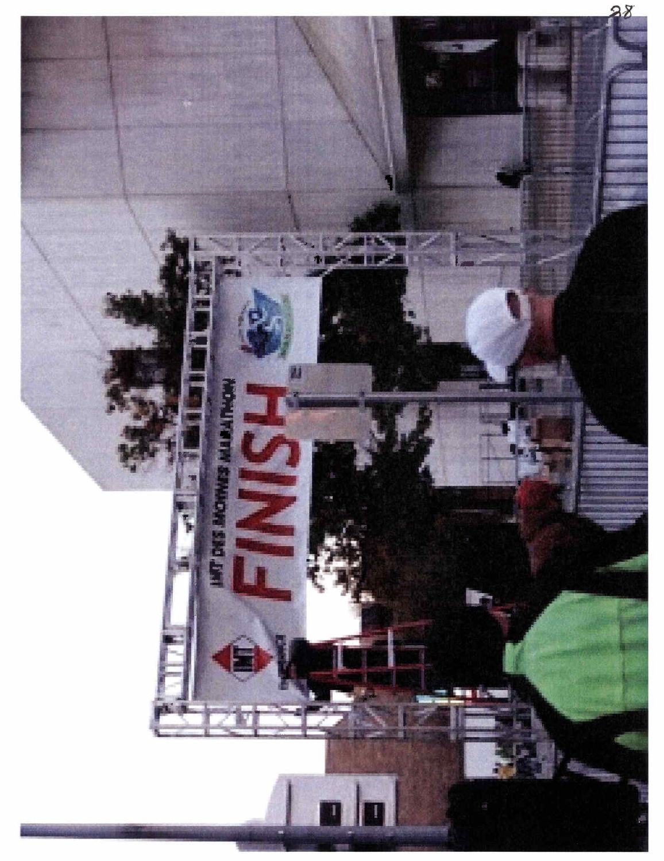